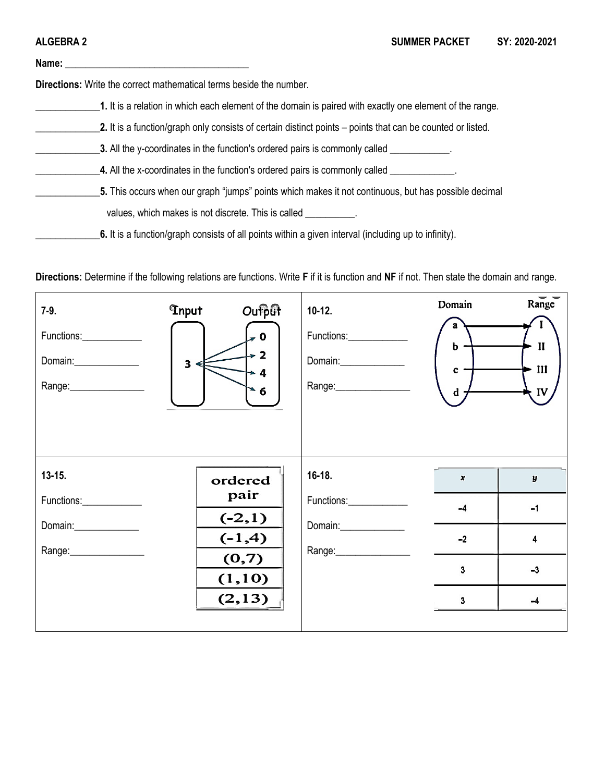

**6.** It is a function/graph consists of all points within a given interval (including up to infinity).

**Directions:** Determine if the following relations are functions. Write **F** if it is function and **NF** if not. Then state the domain and range.

| $7 - 9.$<br>Functions:____________<br>Range:__________________ | Oufput<br><b>Thput</b><br>$\overline{\phantom{0}}$ 0<br>$\geq 2$<br>$\overline{\mathbf{3}}$<br>$\rightarrow$ 4<br>$\bullet$ 6 | $10-12.$<br>Domain:______________                | Domain<br>b<br>c<br>d                  | Range<br>$\mathbf{I}$<br>III<br>IV     |
|----------------------------------------------------------------|-------------------------------------------------------------------------------------------------------------------------------|--------------------------------------------------|----------------------------------------|----------------------------------------|
| $13 - 15.$<br>Functions:<br>Range: _________________           | ordered<br>pair<br>$(-2,1)$<br>$(-1,4)$<br>(0,7)<br>(1,10)<br>(2, 13)                                                         | 16-18.<br>Functions:<br>Range:__________________ | $\pmb{\chi}$<br>$-4$<br>$-2$<br>3<br>3 | $\pmb{y}$<br>$-1$<br>4<br>$-3$<br>$-4$ |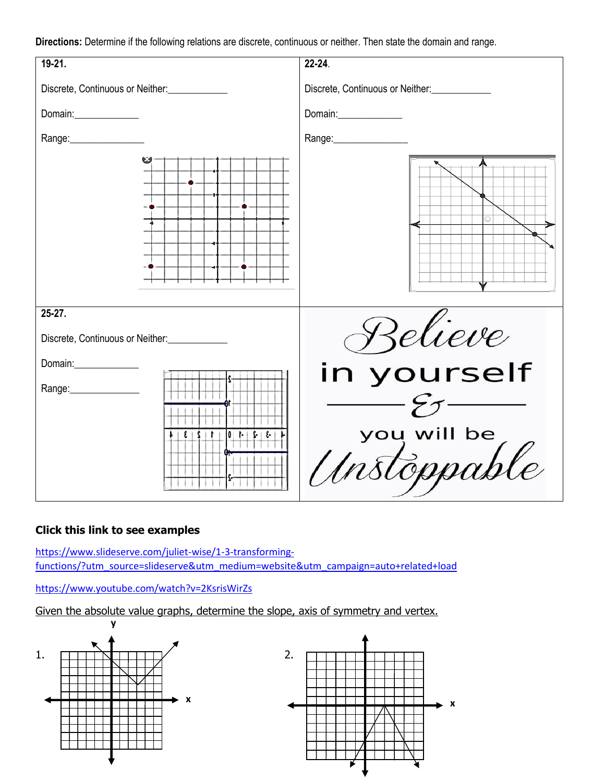**Directions:** Determine if the following relations are discrete, continuous or neither. Then state the domain and range.

| 19-21.                                     | 22-24.                           |
|--------------------------------------------|----------------------------------|
| Discrete, Continuous or Neither:           | Discrete, Continuous or Neither: |
| Domain:______________                      | Domain:______________            |
| Range:_________________                    | Range:________________           |
|                                            |                                  |
| 25-27.<br>Discrete, Continuous or Neither: | Relieve                          |
| Domain:                                    | in yourself                      |
| Range: _______________<br> 3 2 10 <br>r    | you will be<br>Unstoppable       |

## **Click this link to see examples**

[https://www.slideserve.com/juliet-wise/1-3-transforming](https://www.slideserve.com/juliet-wise/1-3-transforming-functions/?utm_source=slideserve&utm_medium=website&utm_campaign=auto+related+load)[functions/?utm\\_source=slideserve&utm\\_medium=website&utm\\_campaign=auto+related+load](https://www.slideserve.com/juliet-wise/1-3-transforming-functions/?utm_source=slideserve&utm_medium=website&utm_campaign=auto+related+load)

<https://www.youtube.com/watch?v=2KsrisWirZs>

Given the absolute value graphs, determine the slope, axis of symmetry and vertex.

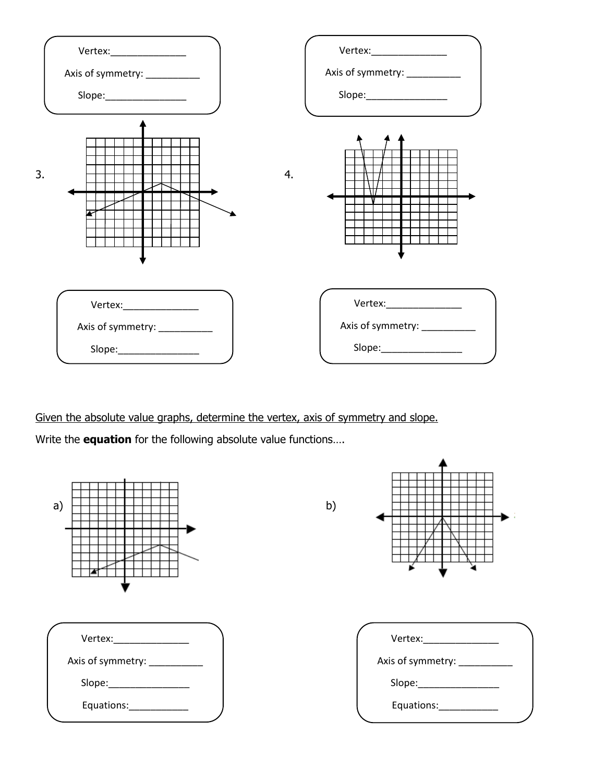

Given the absolute value graphs, determine the vertex, axis of symmetry and slope.

Write the **equation** for the following absolute value functions….

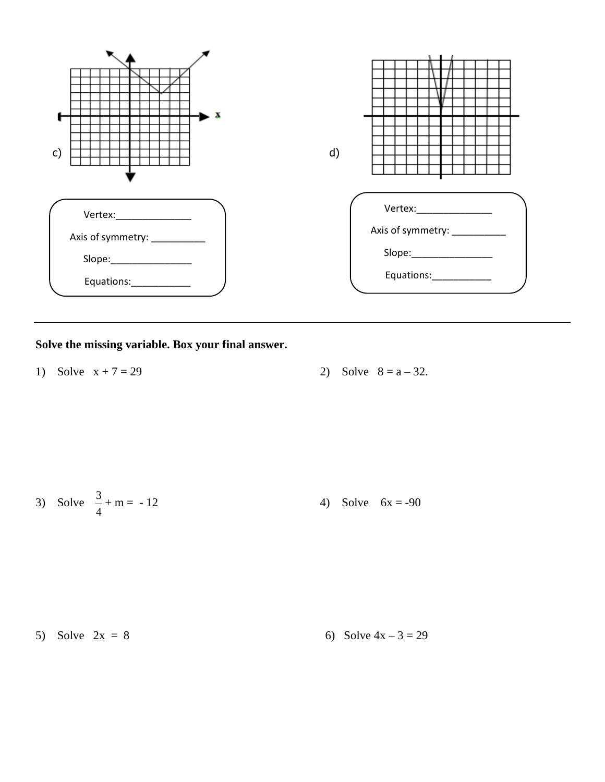

# **Solve the missing variable. Box your final answer.**

1) Solve  $x + 7 = 29$  2) Solve  $8 = a - 32$ .

3) Solve 
$$
\frac{3}{4} + m = -12
$$
 4) Solve  $6x = -90$ 

5) Solve 
$$
2x = 8
$$
 6) Solve  $4x - 3 = 29$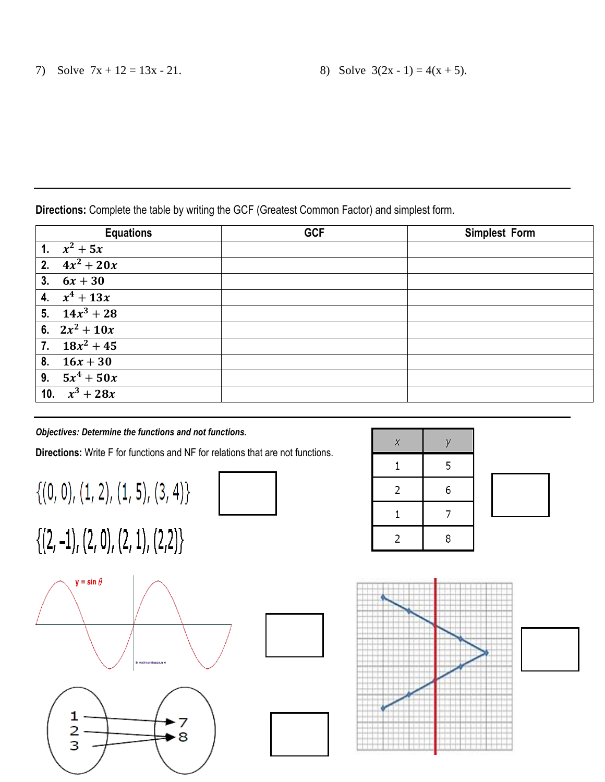**Directions:** Complete the table by writing the GCF (Greatest Common Factor) and simplest form.

| <b>Equations</b> | <b>GCF</b> | <b>Simplest Form</b> |
|------------------|------------|----------------------|
| 1. $x^2 + 5x$    |            |                      |
| 2. $4x^2 + 20x$  |            |                      |
| 3. $6x + 30$     |            |                      |
| 4. $x^4 + 13x$   |            |                      |
| 5. $14x^3 + 28$  |            |                      |
| 6. $2x^2 + 10x$  |            |                      |
| 7. $18x^2 + 45$  |            |                      |
| 8. $16x + 30$    |            |                      |
| 9. $5x^4 + 50x$  |            |                      |
| 10. $x^3 + 28x$  |            |                      |

### *Objectives: Determine the functions and not functions.*

**Directions:** Write F for functions and NF for relations that are not functions.

 $\{(0, 0), (1, 2), (1, 5), (3, 4)\}$ 



 $\{(2,-1), (2,0), (2,1), (2,2)\}\$ 









| $\boldsymbol{X}$ | V |  |
|------------------|---|--|
|                  | 5 |  |
| $\overline{2}$   | 6 |  |
|                  |   |  |
| $\overline{2}$   | 8 |  |

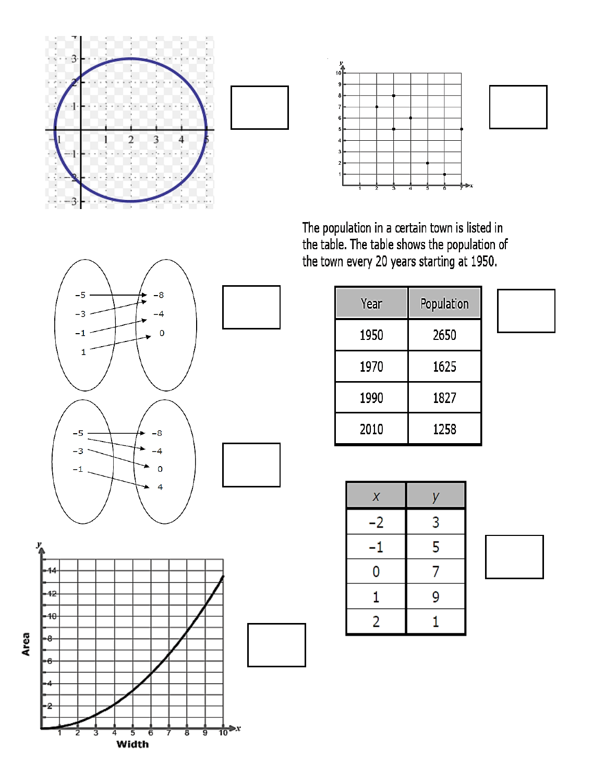



The population in a certain town is listed in<br>the table. The table shows the population of<br>the town every 20 years starting at 1950.

| Year | Population |
|------|------------|
| 1950 | 2650       |
| 1970 | 1625       |
| 1990 | 1827       |
| 2010 | 1258       |

| X  | у |
|----|---|
| -2 | 3 |
| -1 | 5 |
| 0  | 7 |
| 1  | 9 |
| 2  | 1 |



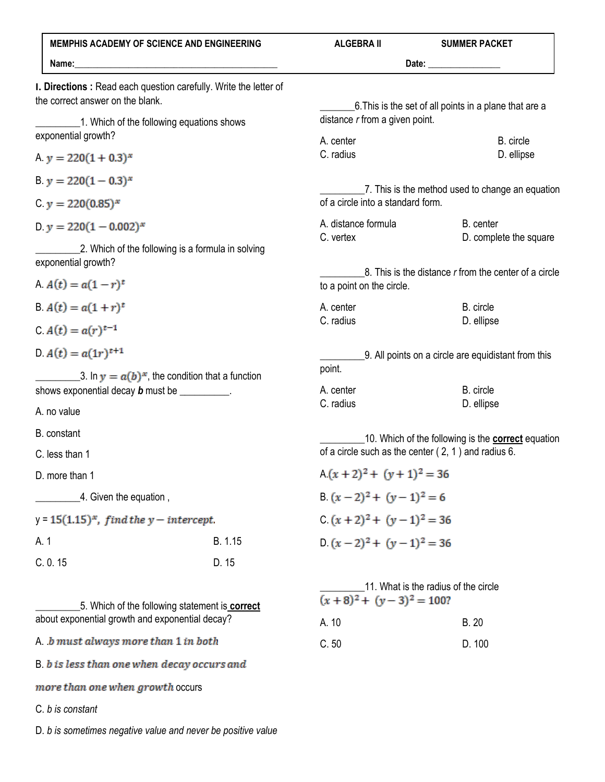| <b>MEMPHIS ACADEMY OF SCIENCE AND ENGINEERING</b>                                                                                                   |         | <b>ALGEBRA II</b>                                                                                                  | <b>SUMMER PACKET</b>                                   |
|-----------------------------------------------------------------------------------------------------------------------------------------------------|---------|--------------------------------------------------------------------------------------------------------------------|--------------------------------------------------------|
|                                                                                                                                                     |         |                                                                                                                    |                                                        |
| <b>I. Directions:</b> Read each question carefully. Write the letter of<br>the correct answer on the blank.                                         |         |                                                                                                                    | 6. This is the set of all points in a plane that are a |
| 1. Which of the following equations shows<br>exponential growth?                                                                                    |         | distance $r$ from a given point.                                                                                   |                                                        |
|                                                                                                                                                     |         | A. center<br>C. radius                                                                                             | B. circle<br>D. ellipse                                |
| A. $y = 220(1 + 0.3)^{x}$                                                                                                                           |         |                                                                                                                    |                                                        |
| B. $y = 220(1 - 0.3)^{x}$                                                                                                                           |         | 7. This is the method used to change an equation                                                                   |                                                        |
| C $y = 220(0.85)^{x}$                                                                                                                               |         | of a circle into a standard form.                                                                                  |                                                        |
| D. $y = 220(1 - 0.002)^{x}$                                                                                                                         |         | A. distance formula<br>C. vertex                                                                                   | B. center<br>D. complete the square                    |
| 2. Which of the following is a formula in solving<br>exponential growth?                                                                            |         |                                                                                                                    |                                                        |
| A $A(t) = a(1 - r)^t$                                                                                                                               |         | $8$ . This is the distance $r$ from the center of a circle<br>to a point on the circle.                            |                                                        |
| B. $A(t) = a(1+r)^t$                                                                                                                                |         | A. center                                                                                                          | B. circle                                              |
| C $A(t) = a(r)^{t-1}$                                                                                                                               |         | C. radius                                                                                                          | D. ellipse                                             |
| $A(t) = a(1r)^{t+1}$<br>__3. In $y = a(b)^x$ , the condition that a function<br>shows exponential decay <b>b</b> must be __________.<br>A. no value |         | 9. All points on a circle are equidistant from this                                                                |                                                        |
|                                                                                                                                                     |         | point.<br>A. center                                                                                                | B. circle                                              |
|                                                                                                                                                     |         | C. radius                                                                                                          | D. ellipse                                             |
| B. constant                                                                                                                                         |         |                                                                                                                    |                                                        |
| C. less than 1                                                                                                                                      |         | 10. Which of the following is the <b>correct</b> equation<br>of a circle such as the center $(2, 1)$ and radius 6. |                                                        |
| D. more than 1                                                                                                                                      |         | $A(x+2)^2 + (y+1)^2 = 36$                                                                                          |                                                        |
| 4. Given the equation,                                                                                                                              |         | B. $(x-2)^2 + (y-1)^2 = 6$                                                                                         |                                                        |
| $y = 15(1.15)^{x}$ , find the $y$ – intercept.                                                                                                      |         | C $(x + 2)^2 + (y - 1)^2 = 36$                                                                                     |                                                        |
| A. 1                                                                                                                                                | B. 1.15 | $D.(x-2)^2 + (y-1)^2 = 36$                                                                                         |                                                        |
| C. 0.15                                                                                                                                             | D. 15   |                                                                                                                    |                                                        |
| 5. Which of the following statement is <b>correct</b>                                                                                               |         | 11. What is the radius of the circle<br>$(x+8)^2 + (y-3)^2 = 100?$                                                 |                                                        |
| about exponential growth and exponential decay?                                                                                                     |         | A. 10                                                                                                              | <b>B.20</b>                                            |
| A b must always more than 1 in both                                                                                                                 |         | C.50                                                                                                               | D. 100                                                 |
| B. b is less than one when decay occurs and                                                                                                         |         |                                                                                                                    |                                                        |

 $more\ than\ one\ when\ growth\ occurs$ 

C. *b is constant*

D. *b is sometimes negative value and never be positive value*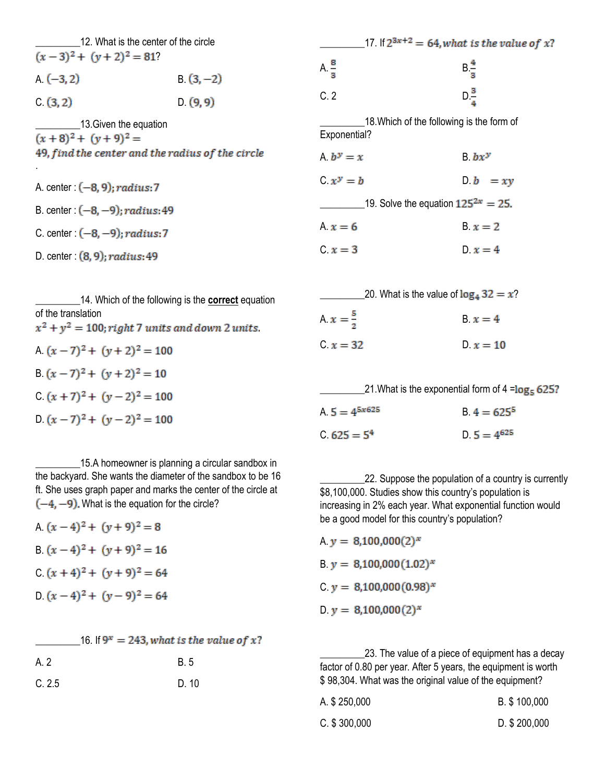\_\_\_\_\_\_\_\_\_12. What is the center of the circle  $\overline{(x-3)^2 + (y+2)^2} = 81$ ? A.  $(-3, 2)$  B.  $(3, -2)$  $C. (3, 2)$  D.  $(9, 9)$ **\_\_\_\_\_\_\_\_\_\_\_\_13.Given the equation**  $(x+8)^2 + (y+9)^2 =$ 49, find the center and the radius of the circle .

A. center:  $(-8, 9)$ ; radius: 7 B. center :  $(-8, -9)$ ; radius: 49 C. center :  $(-8, -9)$ ; radius: 7

D. center:  $(8, 9)$ ; radius: 49

14. Which of the following is the **correct** equation of the translation  $x^2 + y^2 = 100$ ; right 7 units and down 2 units. A.  $(x-7)^2 + (y+2)^2 = 100$ B.  $(x-7)^2 + (y+2)^2 = 10$ C.  $(x + 7)^2 + (y - 2)^2 = 100$  $D.(x-7)^2 + (y-2)^2 = 100$ 

15.A homeowner is planning a circular sandbox in the backyard. She wants the diameter of the sandbox to be 16 ft. She uses graph paper and marks the center of the circle at  $(-4, -9)$ . What is the equation for the circle?

A.  $(x-4)^2 + (y+9)^2 = 8$ B.  $(x-4)^2 + (y+9)^2 = 16$  $(x + 4)^2 + (y + 9)^2 = 64$ D.  $(x-4)^2 + (y-9)^2 = 64$ 

16. If  $9^x = 243$ , what is the value of x?

| A. 2   | <b>B.5</b> |
|--------|------------|
| C. 2.5 | D. 10      |

| 17. If $2^{3x+2} = 64$ , what is the value of x? |
|--------------------------------------------------|
| $B\frac{4}{3}$                                   |
| $D\frac{3}{7}$                                   |
| 18. Which of the following is the form of        |
| $B. b x^y$                                       |
| $D \cdot b = xy$                                 |
| 19. Solve the equation $125^{2x} = 25$ .         |
| $B. x = 2$                                       |
| $D_x = 4$                                        |
|                                                  |

|                     | 20. What is the value of $\log_4 32 = x$ ? |
|---------------------|--------------------------------------------|
| A $x = \frac{5}{2}$ | $x = 4$                                    |
| $C.x = 32$          | $D_x = 10$                                 |

|                    | 21. What is the exponential form of $4 = \log_5 625$ ? |
|--------------------|--------------------------------------------------------|
| A. $5 = 4^{5x625}$ | $B.4 = 625^{\circ}$                                    |
| $C.625 = 54$       | $D.5 = 4^{625}$                                        |

22. Suppose the population of a country is currently \$8,100,000. Studies show this country's population is increasing in 2% each year. What exponential function would be a good model for this country's population?

A.  $y = 8,100,000(2)^{x}$ B.  $y = 8,100,000(1.02)^{x}$ C.  $y = 8,100,000(0.98)^{x}$ D.  $y = 8,100,000(2)^{x}$ 

23. The value of a piece of equipment has a decay factor of 0.80 per year. After 5 years, the equipment is worth \$ 98,304. What was the original value of the equipment?

| A. \$ 250,000   | B. \$100,000    |
|-----------------|-----------------|
| $C.$ \$ 300,000 | $D.$ \$ 200,000 |